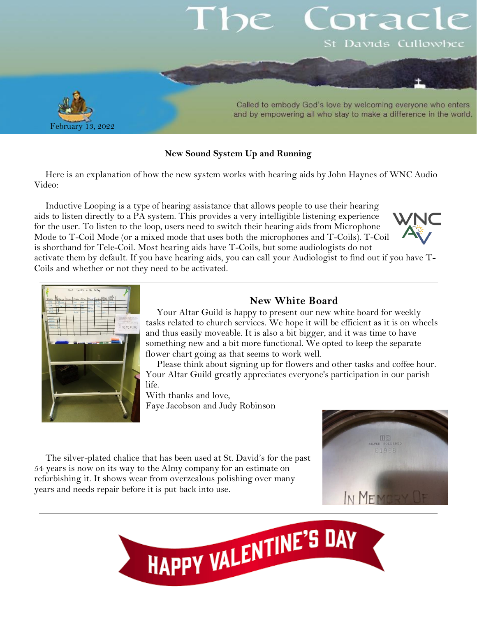# orac St Davids Cullowhee



Called to embody God's love by welcoming everyone who enters and by empowering all who stay to make a difference in the world.

### **New Sound System Up and Running**

Here is an explanation of how the new system works with hearing aids by John Haynes of WNC Audio Video:

Inductive Looping is a type of hearing assistance that allows people to use their hearing aids to listen directly to a PA system. This provides a very intelligible listening experience for the user. To listen to the loop, users need to switch their hearing aids from Microphone Mode to T-Coil Mode (or a mixed mode that uses both the microphones and T-Coils). T-Coil is shorthand for Tele-Coil. Most hearing aids have T-Coils, but some audiologists do not activate them by default. If you have hearing aids, you can call your Audiologist to find out if you have T-





Coils and whether or not they need to be activated.

## **New White Board**

Your Altar Guild is happy to present our new white board for weekly tasks related to church services. We hope it will be efficient as it is on wheels and thus easily moveable. It is also a bit bigger, and it was time to have something new and a bit more functional. We opted to keep the separate flower chart going as that seems to work well.

Please think about signing up for flowers and other tasks and coffee hour. Your Altar Guild greatly appreciates everyone's participation in our parish life.

With thanks and love, Faye Jacobson and Judy Robinson



The silver-plated chalice that has been used at St. David's for the past 54 years is now on its way to the Almy company for an estimate on refurbishing it. It shows wear from overzealous polishing over many years and needs repair before it is put back into use.

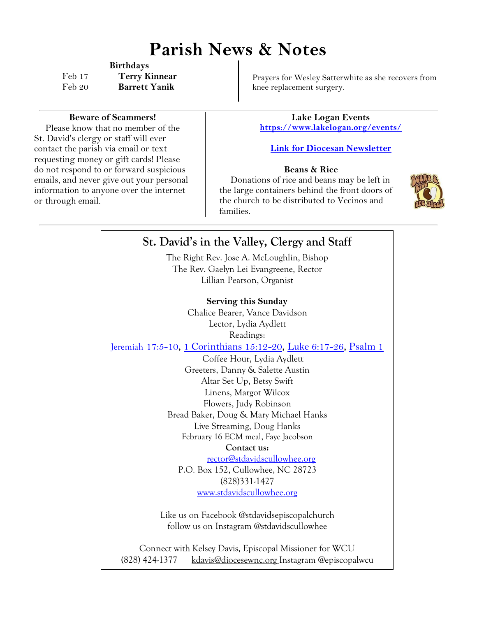# **Parish News & Notes**

**Birthdays** Feb 17 **Terry Kinnear** Feb 20 **Barrett Yanik**

**Beware of Scammers!**

Please know that no member of the St. David's clergy or staff will ever contact the parish via email or text requesting money or gift cards! Please do not respond to or forward suspicious emails, and never give out your personal information to anyone over the internet or through email.

Prayers for Wesley Satterwhite as she recovers from knee replacement surgery.

**Lake Logan Events <https://www.lakelogan.org/events/>**

### **[Link for Diocesan Newsletter](https://files.ctctusercontent.com/bcd32219001/75075db9-7c0d-488e-ad4e-ddfa7bb70a84.pdf?rdr=true)**

### **Beans & Rice**

Donations of rice and beans may be left in the large containers behind the front doors of the church to be distributed to Vecinos and families.